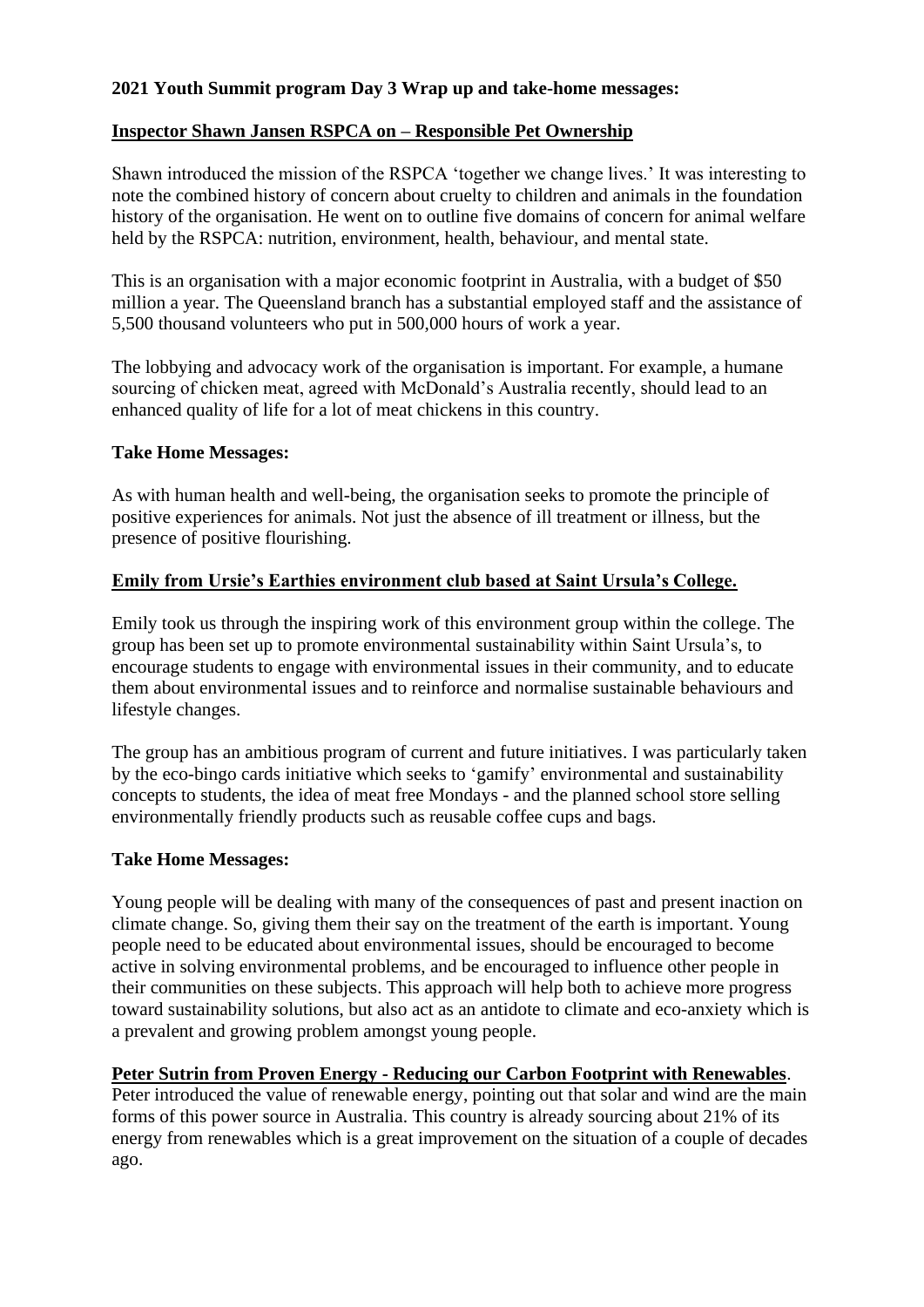# **2021 Youth Summit program Day 3 Wrap up and take-home messages:**

# **Inspector Shawn Jansen RSPCA on – Responsible Pet Ownership**

Shawn introduced the mission of the RSPCA 'together we change lives.' It was interesting to note the combined history of concern about cruelty to children and animals in the foundation history of the organisation. He went on to outline five domains of concern for animal welfare held by the RSPCA: nutrition, environment, health, behaviour, and mental state.

This is an organisation with a major economic footprint in Australia, with a budget of \$50 million a year. The Queensland branch has a substantial employed staff and the assistance of 5,500 thousand volunteers who put in 500,000 hours of work a year.

The lobbying and advocacy work of the organisation is important. For example, a humane sourcing of chicken meat, agreed with McDonald's Australia recently, should lead to an enhanced quality of life for a lot of meat chickens in this country.

#### **Take Home Messages:**

As with human health and well-being, the organisation seeks to promote the principle of positive experiences for animals. Not just the absence of ill treatment or illness, but the presence of positive flourishing.

# **Emily from Ursie's Earthies environment club based at Saint Ursula's College.**

Emily took us through the inspiring work of this environment group within the college. The group has been set up to promote environmental sustainability within Saint Ursula's, to encourage students to engage with environmental issues in their community, and to educate them about environmental issues and to reinforce and normalise sustainable behaviours and lifestyle changes.

The group has an ambitious program of current and future initiatives. I was particularly taken by the eco-bingo cards initiative which seeks to 'gamify' environmental and sustainability concepts to students, the idea of meat free Mondays - and the planned school store selling environmentally friendly products such as reusable coffee cups and bags.

# **Take Home Messages:**

Young people will be dealing with many of the consequences of past and present inaction on climate change. So, giving them their say on the treatment of the earth is important. Young people need to be educated about environmental issues, should be encouraged to become active in solving environmental problems, and be encouraged to influence other people in their communities on these subjects. This approach will help both to achieve more progress toward sustainability solutions, but also act as an antidote to climate and eco-anxiety which is a prevalent and growing problem amongst young people.

# **Peter Sutrin from Proven Energy - Reducing our Carbon Footprint with Renewables**.

Peter introduced the value of renewable energy, pointing out that solar and wind are the main forms of this power source in Australia. This country is already sourcing about 21% of its energy from renewables which is a great improvement on the situation of a couple of decades ago.